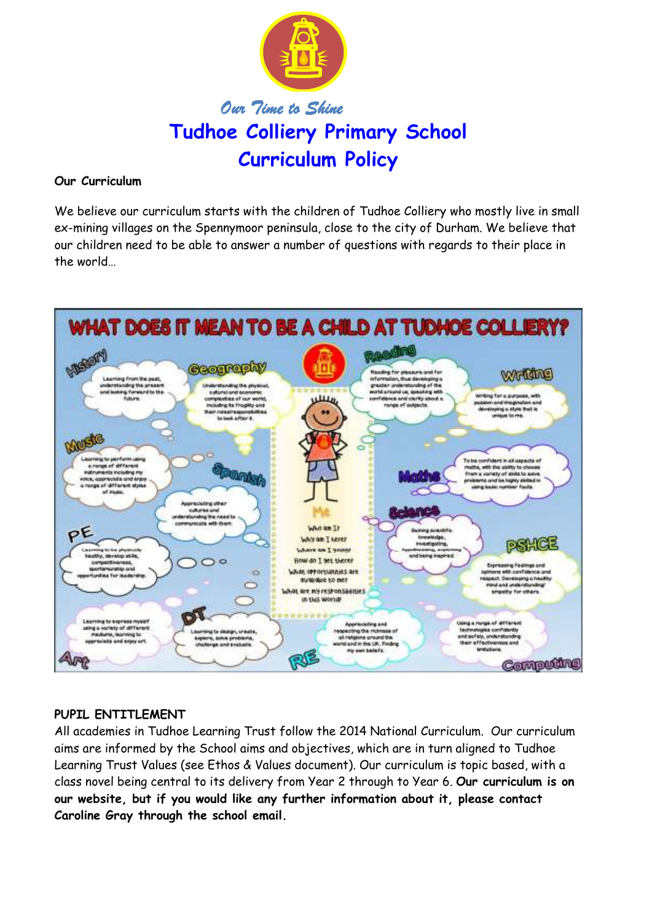

#### **Our Curriculum**

We believe our curriculum starts with the children of Tudhoe Colliery who mostly live in small ex-mining villages on the Spennymoor peninsula, close to the city of Durham. We believe that our children need to be able to answer a number of questions with regards to their place in the world…



## **PUPIL ENTITLEMENT**

All academies in Tudhoe Learning Trust follow the 2014 National Curriculum. Our curriculum aims are informed by the School aims and objectives, which are in turn aligned to Tudhoe Learning Trust Values (see Ethos & Values document). Our curriculum is topic based, with a class novel being central to its delivery from Year 2 through to Year 6. **Our curriculum is on our website, but if you would like any further information about it, please contact Caroline Gray through the school email.**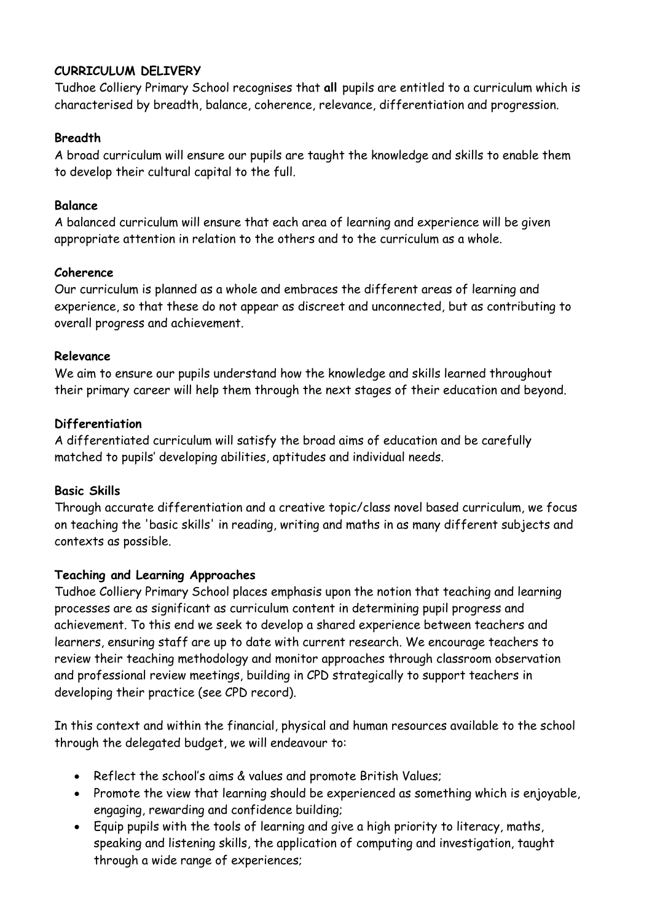### **CURRICULUM DELIVERY**

Tudhoe Colliery Primary School recognises that **all** pupils are entitled to a curriculum which is characterised by breadth, balance, coherence, relevance, differentiation and progression.

### **Breadth**

A broad curriculum will ensure our pupils are taught the knowledge and skills to enable them to develop their cultural capital to the full.

### **Balance**

A balanced curriculum will ensure that each area of learning and experience will be given appropriate attention in relation to the others and to the curriculum as a whole.

### **Coherence**

Our curriculum is planned as a whole and embraces the different areas of learning and experience, so that these do not appear as discreet and unconnected, but as contributing to overall progress and achievement.

### **Relevance**

We aim to ensure our pupils understand how the knowledge and skills learned throughout their primary career will help them through the next stages of their education and beyond.

### **Differentiation**

A differentiated curriculum will satisfy the broad aims of education and be carefully matched to pupils' developing abilities, aptitudes and individual needs.

## **Basic Skills**

Through accurate differentiation and a creative topic/class novel based curriculum, we focus on teaching the 'basic skills' in reading, writing and maths in as many different subjects and contexts as possible.

## **Teaching and Learning Approaches**

Tudhoe Colliery Primary School places emphasis upon the notion that teaching and learning processes are as significant as curriculum content in determining pupil progress and achievement. To this end we seek to develop a shared experience between teachers and learners, ensuring staff are up to date with current research. We encourage teachers to review their teaching methodology and monitor approaches through classroom observation and professional review meetings, building in CPD strategically to support teachers in developing their practice (see CPD record).

In this context and within the financial, physical and human resources available to the school through the delegated budget, we will endeavour to:

- Reflect the school's aims & values and promote British Values;
- Promote the view that learning should be experienced as something which is enjoyable, engaging, rewarding and confidence building;
- Equip pupils with the tools of learning and give a high priority to literacy, maths, speaking and listening skills, the application of computing and investigation, taught through a wide range of experiences;